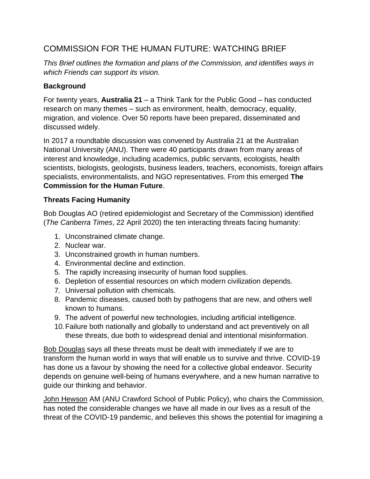## COMMISSION FOR THE HUMAN FUTURE: WATCHING BRIEF

*This Brief outlines the formation and plans of the Commission, and identifies ways in which Friends can support its vision.*

## **Background**

For twenty years, **Australia 21** – a Think Tank for the Public Good – has conducted research on many themes – such as environment, health, democracy, equality, migration, and violence. Over 50 reports have been prepared, disseminated and discussed widely.

In 2017 a roundtable discussion was convened by Australia 21 at the Australian National University (ANU). There were 40 participants drawn from many areas of interest and knowledge, including academics, public servants, ecologists, health scientists, biologists, geologists, business leaders, teachers, economists, foreign affairs specialists, environmentalists, and NGO representatives. From this emerged **The Commission for the Human Future**.

## **Threats Facing Humanity**

Bob Douglas AO (retired epidemiologist and Secretary of the Commission) identified (*The Canberra Times*, 22 April 2020) the ten interacting threats facing humanity:

- 1. Unconstrained climate change.
- 2. Nuclear war.
- 3. Unconstrained growth in human numbers.
- 4. Environmental decline and extinction.
- 5. The rapidly increasing insecurity of human food supplies.
- 6. Depletion of essential resources on which modern civilization depends.
- 7. Universal pollution with chemicals.
- 8. Pandemic diseases, caused both by pathogens that are new, and others well known to humans.
- 9. The advent of powerful new technologies, including artificial intelligence.
- 10.Failure both nationally and globally to understand and act preventively on all these threats, due both to widespread denial and intentional misinformation.

Bob Douglas says all these threats must be dealt with immediately if we are to transform the human world in ways that will enable us to survive and thrive. COVID-19 has done us a favour by showing the need for a collective global endeavor. Security depends on genuine well-being of humans everywhere, and a new human narrative to guide our thinking and behavior.

John Hewson AM (ANU Crawford School of Public Policy), who chairs the Commission, has noted the considerable changes we have all made in our lives as a result of the threat of the COVID-19 pandemic, and believes this shows the potential for imagining a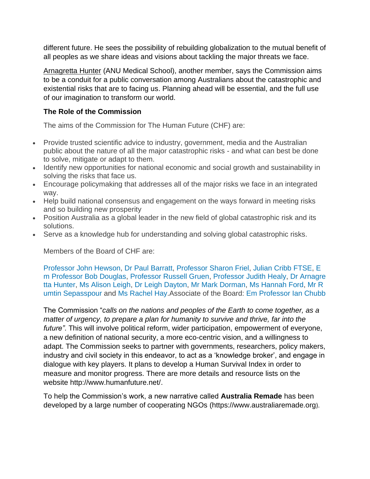different future. He sees the possibility of rebuilding globalization to the mutual benefit of all peoples as we share ideas and visions about tackling the major threats we face.

Arnagretta Hunter (ANU Medical School), another member, says the Commission aims to be a conduit for a public conversation among Australians about the catastrophic and existential risks that are to facing us. Planning ahead will be essential, and the full use of our imagination to transform our world.

## **The Role of the Commission**

The aims of the Commission for The Human Future (CHF) are:

- Provide trusted scientific advice to industry, government, media and the Australian public about the nature of all the major catastrophic risks - and what can best be done to solve, mitigate or adapt to them.
- Identify new opportunities for national economic and social growth and sustainability in solving the risks that face us.
- Encourage policymaking that addresses all of the major risks we face in an integrated way.
- Help build national consensus and engagement on the ways forward in meeting risks and so building new prosperity
- Position Australia as a global leader in the new field of global catastrophic risk and its solutions.
- Serve as a knowledge hub for understanding and solving global catastrophic risks.

Members of the Board of CHF are:

[Professor](https://humanfuture.net/board#Prof%20John%20Hewson) John Hewson, Dr Paul [Barratt,](https://humanfuture.net/board#Prof%20Paul%20Barratt) [Professor](https://humanfuture.net/board#Prof%20Sharon%20Friel) Sharon Friel, Julian Cribb [FTSE,](https://humanfuture.net/board#Julian%20Cribb) [E](https://humanfuture.net/board#Em%20Prof%20Bob%20Douglas) m [Professor](https://humanfuture.net/board#Em%20Prof%20Bob%20Douglas) Bob Douglas, [Professor](https://humanfuture.net/board#Prof%20Russell%20Gruen) Russell Gruen, [Professor](https://humanfuture.net/board#Prof%20Judith%20Healy) Judith Healy, Dr [Arnagre](https://humanfuture.net/board#Dr%20Arnagretta%20Hunter) tta [Hunter,](https://humanfuture.net/board#Dr%20Arnagretta%20Hunter) Ms [Alison](https://humanfuture.net/board#Alison%20Leigh) Leigh, Dr Leigh [Dayton,](https://humanfuture.net/board#Dr%20Leigh%20Dayton) Mr Mark [Dorman,](https://humanfuture.net/board#Mark%20Dorman) Ms [Hannah](https://humanfuture.net/board#Hannah%20Ford) Ford, [Mr](https://humanfuture.net/board#Rumtin%20Sepasspour) R umtin [Sepasspour](https://humanfuture.net/board#Rumtin%20Sepasspour) and Ms [Rachel](https://humanfuture.net/board#Rachel%20Hay) Hay.Associate of the Board: [Em Professor Ian Chubb](https://humanfuture.net/board#Em%20Prof%20Ian%20Chubb)

The Commission "*calls on the nations and peoples of the Earth to come together, as a matter of urgency, to prepare a plan for humanity to survive and thrive, far into the future"*. This will involve political reform, wider participation, empowerment of everyone, a new definition of national security, a more eco-centric vision, and a willingness to adapt. The Commission seeks to partner with governments, researchers, policy makers, industry and civil society in this endeavor, to act as a 'knowledge broker', and engage in dialogue with key players. It plans to develop a Human Survival Index in order to measure and monitor progress. There are more details and resource lists on the website http://www.humanfuture.net/.

To help the Commission's work, a new narrative called **Australia Remade** has been developed by a large number of cooperating NGOs (https://www.australiaremade.org).